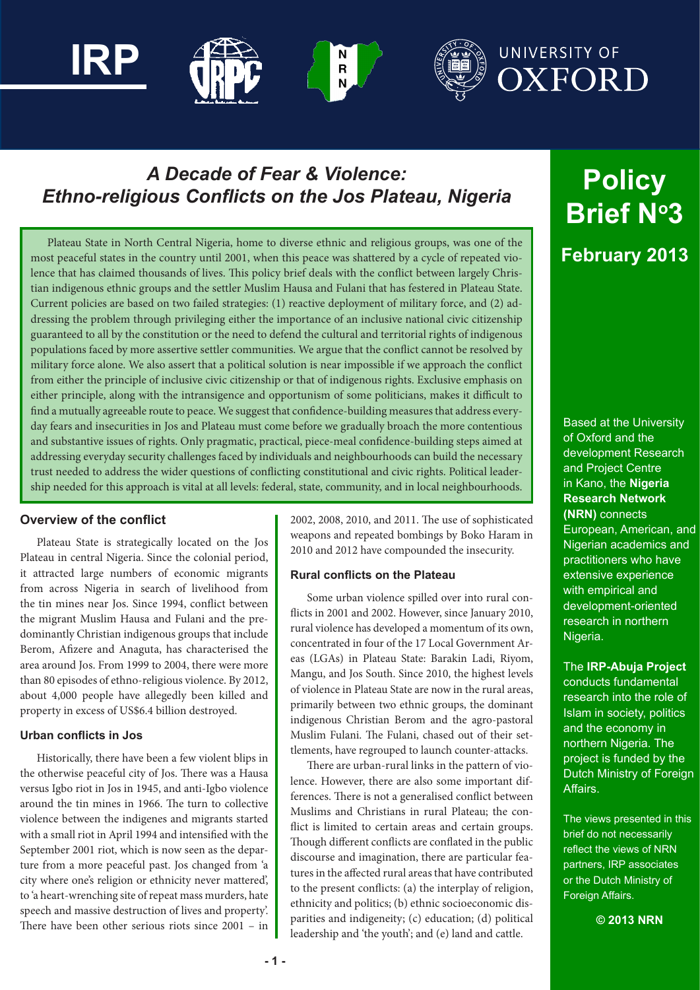

# *A Decade of Fear & Violence: Ethno-religious Conflicts on the Jos Plateau, Nigeria*

Plateau State in North Central Nigeria, home to diverse ethnic and religious groups, was one of the most peaceful states in the country until 2001, when this peace was shattered by a cycle of repeated violence that has claimed thousands of lives. This policy brief deals with the conflict between largely Christian indigenous ethnic groups and the settler Muslim Hausa and Fulani that has festered in Plateau State. Current policies are based on two failed strategies: (1) reactive deployment of military force, and (2) addressing the problem through privileging either the importance of an inclusive national civic citizenship guaranteed to all by the constitution or the need to defend the cultural and territorial rights of indigenous populations faced by more assertive settler communities. We argue that the conflict cannot be resolved by military force alone. We also assert that a political solution is near impossible if we approach the conflict from either the principle of inclusive civic citizenship or that of indigenous rights. Exclusive emphasis on either principle, along with the intransigence and opportunism of some politicians, makes it difficult to find a mutually agreeable route to peace. We suggest that confidence-building measures that address everyday fears and insecurities in Jos and Plateau must come before we gradually broach the more contentious and substantive issues of rights. Only pragmatic, practical, piece-meal confidence-building steps aimed at addressing everyday security challenges faced by individuals and neighbourhoods can build the necessary trust needed to address the wider questions of conflicting constitutional and civic rights. Political leadership needed for this approach is vital at all levels: federal, state, community, and in local neighbourhoods.

# **Overview of the conflict**

Plateau State is strategically located on the Jos Plateau in central Nigeria. Since the colonial period, it attracted large numbers of economic migrants from across Nigeria in search of livelihood from the tin mines near Jos. Since 1994, conflict between the migrant Muslim Hausa and Fulani and the predominantly Christian indigenous groups that include Berom, Afizere and Anaguta, has characterised the area around Jos. From 1999 to 2004, there were more than 80 episodes of ethno-religious violence. By 2012, about 4,000 people have allegedly been killed and property in excess of US\$6.4 billion destroyed.

#### **Urban conflicts in Jos**

Historically, there have been a few violent blips in the otherwise peaceful city of Jos. There was a Hausa versus Igbo riot in Jos in 1945, and anti-Igbo violence around the tin mines in 1966. The turn to collective violence between the indigenes and migrants started with a small riot in April 1994 and intensified with the September 2001 riot, which is now seen as the departure from a more peaceful past. Jos changed from 'a city where one's religion or ethnicity never mattered', to 'a heart-wrenching site of repeat mass murders, hate speech and massive destruction of lives and property'. There have been other serious riots since 2001 – in 2002, 2008, 2010, and 2011. The use of sophisticated weapons and repeated bombings by Boko Haram in 2010 and 2012 have compounded the insecurity.

# **Rural conflicts on the Plateau**

Some urban violence spilled over into rural conflicts in 2001 and 2002. However, since January 2010, rural violence has developed a momentum of its own, concentrated in four of the 17 Local Government Areas (LGAs) in Plateau State: Barakin Ladi, Riyom, Mangu, and Jos South. Since 2010, the highest levels of violence in Plateau State are now in the rural areas, primarily between two ethnic groups, the dominant indigenous Christian Berom and the agro-pastoral Muslim Fulani. The Fulani, chased out of their settlements, have regrouped to launch counter-attacks.

There are urban-rural links in the pattern of violence. However, there are also some important differences. There is not a generalised conflict between Muslims and Christians in rural Plateau; the conflict is limited to certain areas and certain groups. Though different conflicts are conflated in the public discourse and imagination, there are particular features in the affected rural areas that have contributed to the present conflicts: (a) the interplay of religion, ethnicity and politics; (b) ethnic socioeconomic disparities and indigeneity; (c) education; (d) political leadership and 'the youth'; and (e) land and cattle.

# **Policy Brief No3 February 2013**

Based at the University of Oxford and the development Research and Project Centre in Kano, the **Nigeria Research Network (NRN)** connects European, American, and Nigerian academics and practitioners who have extensive experience with empirical and development-oriented research in northern Nigeria.

#### The **IRP-Abuja Project**

conducts fundamental research into the role of Islam in society, politics and the economy in northern Nigeria. The project is funded by the Dutch Ministry of Foreign Affairs.

The views presented in this brief do not necessarily reflect the views of NRN partners, IRP associates or the Dutch Ministry of Foreign Affairs.

**© 2013 NRN**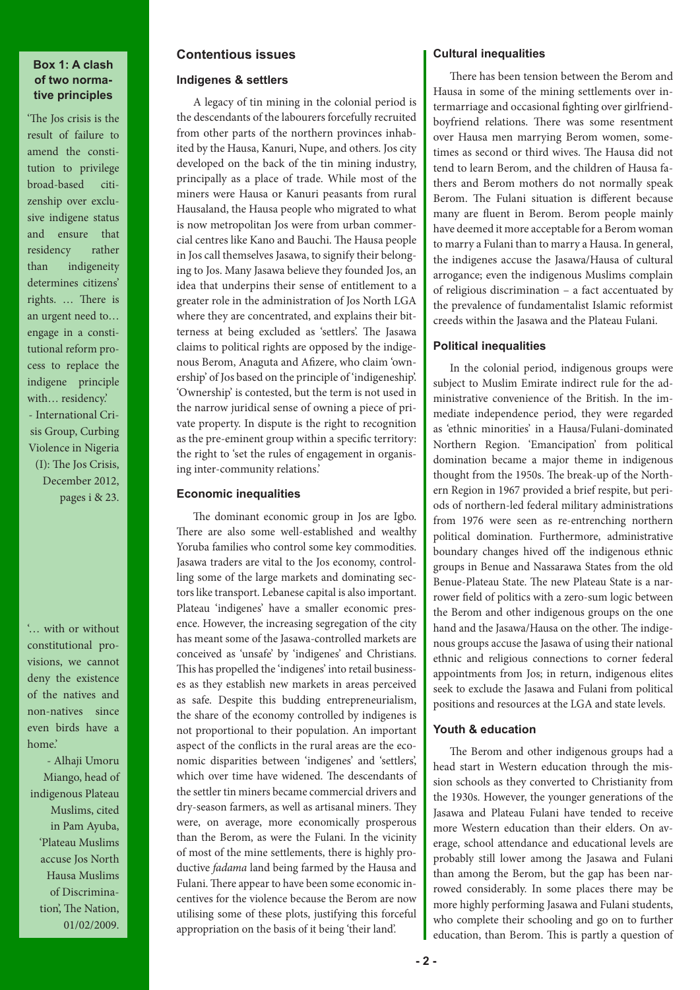# **Box 1: A clash of two normative principles**

'The Jos crisis is the result of failure to amend the constitution to privilege broad-based citizenship over exclusive indigene status and ensure that residency rather than indigeneity determines citizens' rights. … There is an urgent need to… engage in a constitutional reform process to replace the indigene principle with... residency.' - International Crisis Group, Curbing Violence in Nigeria (I): The Jos Crisis, December 2012, pages i & 23.

'… with or without constitutional provisions, we cannot deny the existence of the natives and non-natives since even birds have a home.'

 - Alhaji Umoru Miango, head of indigenous Plateau Muslims, cited in Pam Ayuba, 'Plateau Muslims accuse Jos North Hausa Muslims of Discrimination', The Nation, 01/02/2009.

# **Contentious issues**

#### **Indigenes & settlers**

A legacy of tin mining in the colonial period is the descendants of the labourers forcefully recruited from other parts of the northern provinces inhabited by the Hausa, Kanuri, Nupe, and others. Jos city developed on the back of the tin mining industry, principally as a place of trade. While most of the miners were Hausa or Kanuri peasants from rural Hausaland, the Hausa people who migrated to what is now metropolitan Jos were from urban commercial centres like Kano and Bauchi. The Hausa people in Jos call themselves Jasawa, to signify their belonging to Jos. Many Jasawa believe they founded Jos, an idea that underpins their sense of entitlement to a greater role in the administration of Jos North LGA where they are concentrated, and explains their bitterness at being excluded as 'settlers'. The Jasawa claims to political rights are opposed by the indigenous Berom, Anaguta and Afizere, who claim 'ownership' of Jos based on the principle of 'indigeneship'. 'Ownership' is contested, but the term is not used in the narrow juridical sense of owning a piece of private property. In dispute is the right to recognition as the pre-eminent group within a specific territory: the right to 'set the rules of engagement in organising inter-community relations.'

# **Economic inequalities**

The dominant economic group in Jos are Igbo. There are also some well-established and wealthy Yoruba families who control some key commodities. Jasawa traders are vital to the Jos economy, controlling some of the large markets and dominating sectors like transport. Lebanese capital is also important. Plateau 'indigenes' have a smaller economic presence. However, the increasing segregation of the city has meant some of the Jasawa-controlled markets are conceived as 'unsafe' by 'indigenes' and Christians. This has propelled the 'indigenes' into retail businesses as they establish new markets in areas perceived as safe. Despite this budding entrepreneurialism, the share of the economy controlled by indigenes is not proportional to their population. An important aspect of the conflicts in the rural areas are the economic disparities between 'indigenes' and 'settlers', which over time have widened. The descendants of the settler tin miners became commercial drivers and dry‐season farmers, as well as artisanal miners. They were, on average, more economically prosperous than the Berom, as were the Fulani. In the vicinity of most of the mine settlements, there is highly productive *fadama* land being farmed by the Hausa and Fulani. There appear to have been some economic incentives for the violence because the Berom are now utilising some of these plots, justifying this forceful appropriation on the basis of it being 'their land'.

#### **Cultural inequalities**

There has been tension between the Berom and Hausa in some of the mining settlements over intermarriage and occasional fighting over girlfriendboyfriend relations. There was some resentment over Hausa men marrying Berom women, sometimes as second or third wives. The Hausa did not tend to learn Berom, and the children of Hausa fathers and Berom mothers do not normally speak Berom. The Fulani situation is different because many are fluent in Berom. Berom people mainly have deemed it more acceptable for a Berom woman to marry a Fulani than to marry a Hausa. In general, the indigenes accuse the Jasawa/Hausa of cultural arrogance; even the indigenous Muslims complain of religious discrimination – a fact accentuated by the prevalence of fundamentalist Islamic reformist creeds within the Jasawa and the Plateau Fulani.

# **Political inequalities**

In the colonial period, indigenous groups were subject to Muslim Emirate indirect rule for the administrative convenience of the British. In the immediate independence period, they were regarded as 'ethnic minorities' in a Hausa/Fulani-dominated Northern Region. 'Emancipation' from political domination became a major theme in indigenous thought from the 1950s. The break-up of the Northern Region in 1967 provided a brief respite, but periods of northern-led federal military administrations from 1976 were seen as re-entrenching northern political domination. Furthermore, administrative boundary changes hived off the indigenous ethnic groups in Benue and Nassarawa States from the old Benue-Plateau State. The new Plateau State is a narrower field of politics with a zero-sum logic between the Berom and other indigenous groups on the one hand and the Jasawa/Hausa on the other. The indigenous groups accuse the Jasawa of using their national ethnic and religious connections to corner federal appointments from Jos; in return, indigenous elites seek to exclude the Jasawa and Fulani from political positions and resources at the LGA and state levels.

# **Youth & education**

The Berom and other indigenous groups had a head start in Western education through the mission schools as they converted to Christianity from the 1930s. However, the younger generations of the Jasawa and Plateau Fulani have tended to receive more Western education than their elders. On average, school attendance and educational levels are probably still lower among the Jasawa and Fulani than among the Berom, but the gap has been narrowed considerably. In some places there may be more highly performing Jasawa and Fulani students, who complete their schooling and go on to further education, than Berom. This is partly a question of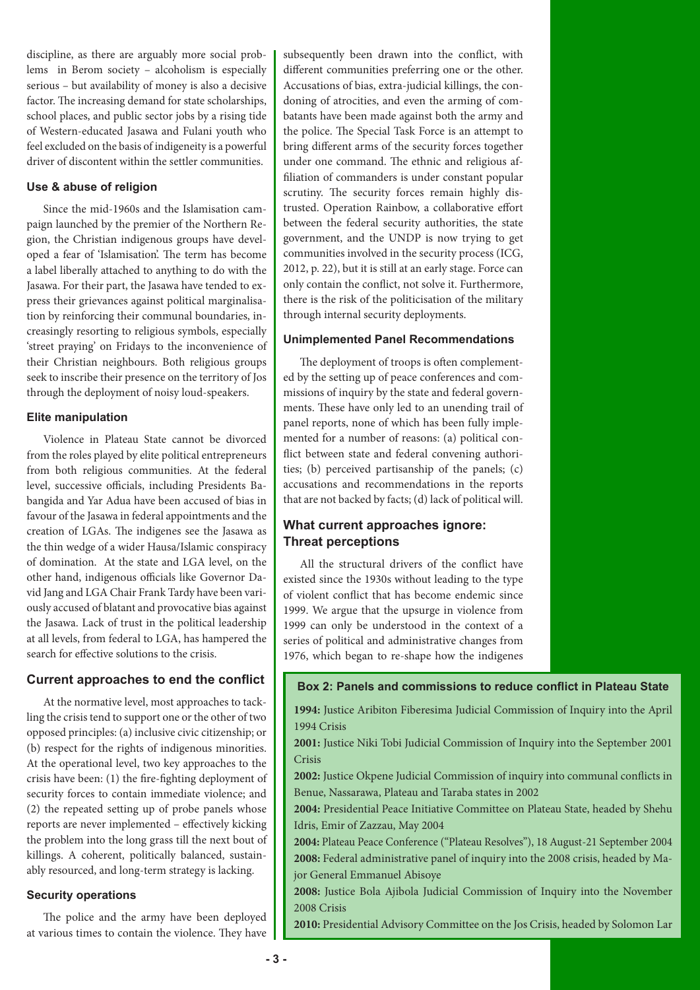discipline, as there are arguably more social problems in Berom society – alcoholism is especially serious – but availability of money is also a decisive factor. The increasing demand for state scholarships, school places, and public sector jobs by a rising tide of Western-educated Jasawa and Fulani youth who feel excluded on the basis of indigeneity is a powerful driver of discontent within the settler communities.

# **Use & abuse of religion**

Since the mid-1960s and the Islamisation campaign launched by the premier of the Northern Region, the Christian indigenous groups have developed a fear of 'Islamisation'. The term has become a label liberally attached to anything to do with the Jasawa. For their part, the Jasawa have tended to express their grievances against political marginalisation by reinforcing their communal boundaries, increasingly resorting to religious symbols, especially 'street praying' on Fridays to the inconvenience of their Christian neighbours. Both religious groups seek to inscribe their presence on the territory of Jos through the deployment of noisy loud-speakers.

# **Elite manipulation**

Violence in Plateau State cannot be divorced from the roles played by elite political entrepreneurs from both religious communities. At the federal level, successive officials, including Presidents Babangida and Yar Adua have been accused of bias in favour of the Jasawa in federal appointments and the creation of LGAs. The indigenes see the Jasawa as the thin wedge of a wider Hausa/Islamic conspiracy of domination. At the state and LGA level, on the other hand, indigenous officials like Governor David Jang and LGA Chair Frank Tardy have been variously accused of blatant and provocative bias against the Jasawa. Lack of trust in the political leadership at all levels, from federal to LGA, has hampered the search for effective solutions to the crisis.

# **Current approaches to end the conflict**

At the normative level, most approaches to tackling the crisis tend to support one or the other of two opposed principles: (a) inclusive civic citizenship; or (b) respect for the rights of indigenous minorities. At the operational level, two key approaches to the crisis have been: (1) the fire-fighting deployment of security forces to contain immediate violence; and (2) the repeated setting up of probe panels whose reports are never implemented – effectively kicking the problem into the long grass till the next bout of killings. A coherent, politically balanced, sustainably resourced, and long-term strategy is lacking.

#### **Security operations**

The police and the army have been deployed at various times to contain the violence. They have

subsequently been drawn into the conflict, with different communities preferring one or the other. Accusations of bias, extra-judicial killings, the condoning of atrocities, and even the arming of combatants have been made against both the army and the police. The Special Task Force is an attempt to bring different arms of the security forces together under one command. The ethnic and religious affiliation of commanders is under constant popular scrutiny. The security forces remain highly distrusted. Operation Rainbow, a collaborative effort between the federal security authorities, the state government, and the UNDP is now trying to get communities involved in the security process (ICG, 2012, p. 22), but it is still at an early stage. Force can only contain the conflict, not solve it. Furthermore, there is the risk of the politicisation of the military through internal security deployments.

# **Unimplemented Panel Recommendations**

The deployment of troops is often complemented by the setting up of peace conferences and commissions of inquiry by the state and federal governments. These have only led to an unending trail of panel reports, none of which has been fully implemented for a number of reasons: (a) political conflict between state and federal convening authorities; (b) perceived partisanship of the panels; (c) accusations and recommendations in the reports that are not backed by facts; (d) lack of political will.

# **What current approaches ignore: Threat perceptions**

All the structural drivers of the conflict have existed since the 1930s without leading to the type of violent conflict that has become endemic since 1999. We argue that the upsurge in violence from 1999 can only be understood in the context of a series of political and administrative changes from 1976, which began to re-shape how the indigenes

# **Box 2: Panels and commissions to reduce conflict in Plateau State**

**1994:** Justice Aribiton Fiberesima Judicial Commission of Inquiry into the April 1994 Crisis

**2001:** Justice Niki Tobi Judicial Commission of Inquiry into the September 2001 Crisis

**2002:** Justice Okpene Judicial Commission of inquiry into communal conflicts in Benue, Nassarawa, Plateau and Taraba states in 2002

**2004:** Presidential Peace Initiative Committee on Plateau State, headed by Shehu Idris, Emir of Zazzau, May 2004

**2004:** Plateau Peace Conference ("Plateau Resolves"), 18 August-21 September 2004 **2008:** Federal administrative panel of inquiry into the 2008 crisis, headed by Major General Emmanuel Abisoye

**2008:** Justice Bola Ajibola Judicial Commission of Inquiry into the November 2008 Crisis

**2010:** Presidential Advisory Committee on the Jos Crisis, headed by Solomon Lar